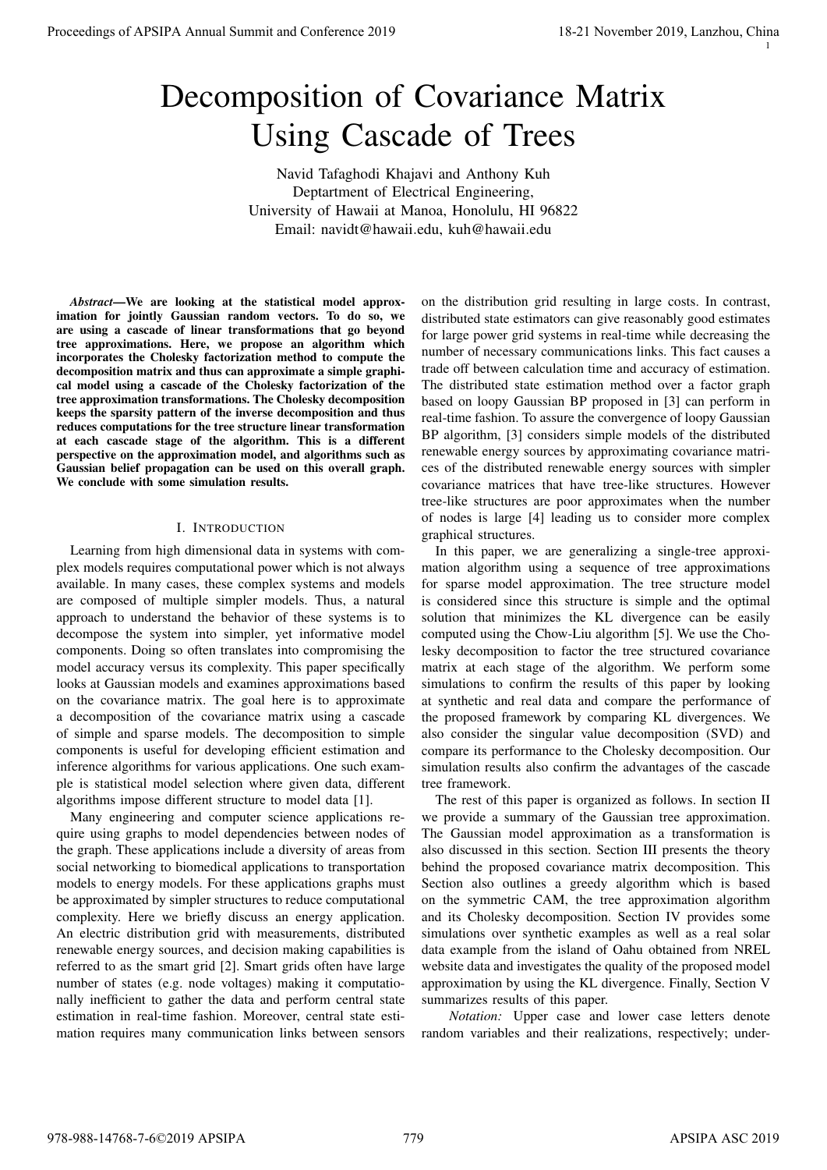1

# Decomposition of Covariance Matrix Using Cascade of Trees

Navid Tafaghodi Khajavi and Anthony Kuh Deptartment of Electrical Engineering, University of Hawaii at Manoa, Honolulu, HI 96822 Email: navidt@hawaii.edu, kuh@hawaii.edu

*Abstract*—We are looking at the statistical model approximation for jointly Gaussian random vectors. To do so, we are using a cascade of linear transformations that go beyond tree approximations. Here, we propose an algorithm which incorporates the Cholesky factorization method to compute the decomposition matrix and thus can approximate a simple graphical model using a cascade of the Cholesky factorization of the tree approximation transformations. The Cholesky decomposition keeps the sparsity pattern of the inverse decomposition and thus reduces computations for the tree structure linear transformation at each cascade stage of the algorithm. This is a different perspective on the approximation model, and algorithms such as Gaussian belief propagation can be used on this overall graph. We conclude with some simulation results.

## I. INTRODUCTION

Learning from high dimensional data in systems with complex models requires computational power which is not always available. In many cases, these complex systems and models are composed of multiple simpler models. Thus, a natural approach to understand the behavior of these systems is to decompose the system into simpler, yet informative model components. Doing so often translates into compromising the model accuracy versus its complexity. This paper specifically looks at Gaussian models and examines approximations based on the covariance matrix. The goal here is to approximate a decomposition of the covariance matrix using a cascade of simple and sparse models. The decomposition to simple components is useful for developing efficient estimation and inference algorithms for various applications. One such example is statistical model selection where given data, different algorithms impose different structure to model data [1]. Proceedings of APSIPA Annual Summit and Conference 2019<br>
DECOMPTOSITION of COVATRIATION (SECRETIATION CONFERENCE 2019)<br>
November 2019, Except and Conference 2019, The conference 2019 18-21 November 2019, The conference 20

Many engineering and computer science applications require using graphs to model dependencies between nodes of the graph. These applications include a diversity of areas from social networking to biomedical applications to transportation models to energy models. For these applications graphs must be approximated by simpler structures to reduce computational complexity. Here we briefly discuss an energy application. An electric distribution grid with measurements, distributed renewable energy sources, and decision making capabilities is referred to as the smart grid [2]. Smart grids often have large number of states (e.g. node voltages) making it computationally inefficient to gather the data and perform central state estimation in real-time fashion. Moreover, central state estimation requires many communication links between sensors

on the distribution grid resulting in large costs. In contrast, distributed state estimators can give reasonably good estimates for large power grid systems in real-time while decreasing the number of necessary communications links. This fact causes a trade off between calculation time and accuracy of estimation. The distributed state estimation method over a factor graph based on loopy Gaussian BP proposed in [3] can perform in real-time fashion. To assure the convergence of loopy Gaussian BP algorithm, [3] considers simple models of the distributed renewable energy sources by approximating covariance matrices of the distributed renewable energy sources with simpler covariance matrices that have tree-like structures. However tree-like structures are poor approximates when the number of nodes is large [4] leading us to consider more complex graphical structures.

In this paper, we are generalizing a single-tree approximation algorithm using a sequence of tree approximations for sparse model approximation. The tree structure model is considered since this structure is simple and the optimal solution that minimizes the KL divergence can be easily computed using the Chow-Liu algorithm [5]. We use the Cholesky decomposition to factor the tree structured covariance matrix at each stage of the algorithm. We perform some simulations to confirm the results of this paper by looking at synthetic and real data and compare the performance of the proposed framework by comparing KL divergences. We also consider the singular value decomposition (SVD) and compare its performance to the Cholesky decomposition. Our simulation results also confirm the advantages of the cascade tree framework.

The rest of this paper is organized as follows. In section II we provide a summary of the Gaussian tree approximation. The Gaussian model approximation as a transformation is also discussed in this section. Section III presents the theory behind the proposed covariance matrix decomposition. This Section also outlines a greedy algorithm which is based on the symmetric CAM, the tree approximation algorithm and its Cholesky decomposition. Section IV provides some simulations over synthetic examples as well as a real solar data example from the island of Oahu obtained from NREL website data and investigates the quality of the proposed model approximation by using the KL divergence. Finally, Section V summarizes results of this paper.

*Notation:* Upper case and lower case letters denote random variables and their realizations, respectively; under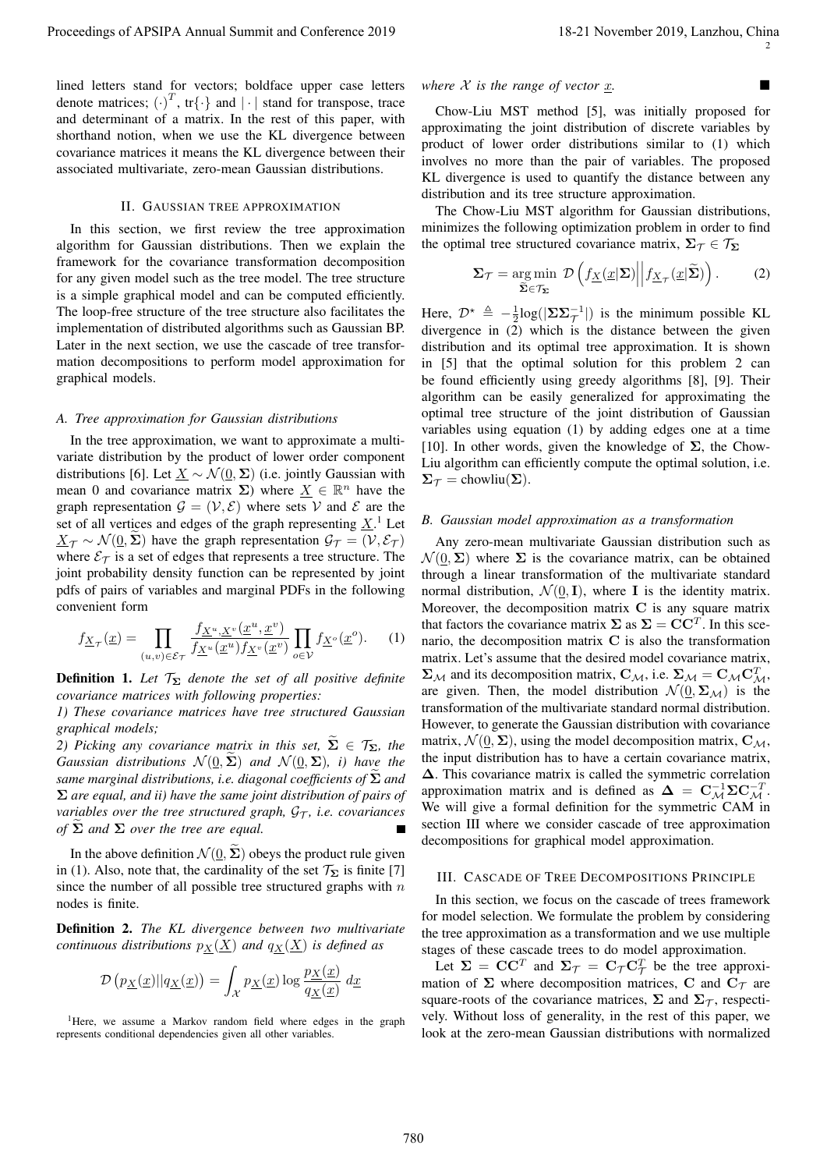lined letters stand for vectors; boldface upper case letters denote matrices;  $(\cdot)^T$ , tr{ $\cdot$ } and  $|\cdot|$  stand for transpose, trace and determinant of a matrix. In the rest of this paper, with shorthand notion, when we use the KL divergence between covariance matrices it means the KL divergence between their associated multivariate, zero-mean Gaussian distributions.

#### II. GAUSSIAN TREE APPROXIMATION

In this section, we first review the tree approximation algorithm for Gaussian distributions. Then we explain the framework for the covariance transformation decomposition for any given model such as the tree model. The tree structure is a simple graphical model and can be computed efficiently. The loop-free structure of the tree structure also facilitates the implementation of distributed algorithms such as Gaussian BP. Later in the next section, we use the cascade of tree transformation decompositions to perform model approximation for graphical models.

## *A. Tree approximation for Gaussian distributions*

In the tree approximation, we want to approximate a multivariate distribution by the product of lower order component distributions [6]. Let  $\underline{X} \sim \mathcal{N}(\underline{0}, \Sigma)$  (i.e. jointly Gaussian with mean 0 and covariance matrix  $\Sigma$ ) where  $\underline{X} \in \mathbb{R}^n$  have the graph representation  $\mathcal{G} = (\mathcal{V}, \mathcal{E})$  where sets V and E are the set of all vertices and edges of the graph representing  $\underline{X}$ .<sup>1</sup> Let  $X_{\tau} \sim \mathcal{N}(0, \Sigma)$  have the graph representation  $\mathcal{G}_{\tau} = (\mathcal{V}, \mathcal{E}_{\tau})$ where  $\mathcal{E}_{\tau}$  is a set of edges that represents a tree structure. The joint probability density function can be represented by joint pdfs of pairs of variables and marginal PDFs in the following convenient form

$$
f_{\underline{X}_{\mathcal{T}}}(\underline{x}) = \prod_{(u,v)\in\mathcal{E}_{\mathcal{T}}} \frac{f_{\underline{X}^u,\underline{X}^v}(\underline{x}^u,\underline{x}^v)}{f_{\underline{X}^u}(\underline{x}^u)f_{\underline{X}^v}(\underline{x}^v)} \prod_{o\in\mathcal{V}} f_{\underline{X}^o}(\underline{x}^o). \tag{1}
$$

**Definition 1.** Let  $\mathcal{T}_{\Sigma}$  denote the set of all positive definite *covariance matrices with following properties:*

*1) These covariance matrices have tree structured Gaussian graphical models;*

*2) Picking any covariance matrix in this set,*  $\Sigma \in \mathcal{T}_{\Sigma}$ *, the Gaussian distributions*  $\mathcal{N}(\underline{0}, \widetilde{\Sigma})$  *and*  $\mathcal{N}(\underline{0}, \Sigma)$ *, i) have the same marginal distributions, i.e. diagonal coefficients of*  $\Sigma$  *and* Σ *are equal, and ii) have the same joint distribution of pairs of variables over the tree structured graph,*  $G_{\tau}$ *, i.e. covariances of*  $\Sigma$  *and*  $\Sigma$  *over the tree are equal.* 

In the above definition  $\mathcal{N}(\underline{0}, \widetilde{\Sigma})$  obeys the product rule given in (1). Also, note that, the cardinality of the set  $\mathcal{T}_{\Sigma}$  is finite [7] since the number of all possible tree structured graphs with  $n$ nodes is finite.

Definition 2. *The KL divergence between two multivariate continuous distributions*  $p_X(\underline{X})$  *and*  $q_X(\underline{X})$  *is defined as* 

$$
\mathcal{D}\left(p_{\underline{X}}(\underline{x})||q_{\underline{X}}(\underline{x})\right) = \int_{\mathcal{X}} p_{\underline{X}}(\underline{x}) \log \frac{p_{\underline{X}}(\underline{x})}{q_{\underline{X}}(\underline{x})} d\underline{x}
$$

<sup>1</sup>Here, we assume a Markov random field where edges in the graph represents conditional dependencies given all other variables.

### *where*  $X$  *is the range of vector*  $x$ *.*

Chow-Liu MST method [5], was initially proposed for approximating the joint distribution of discrete variables by product of lower order distributions similar to (1) which involves no more than the pair of variables. The proposed KL divergence is used to quantify the distance between any distribution and its tree structure approximation.

The Chow-Liu MST algorithm for Gaussian distributions, minimizes the following optimization problem in order to find the optimal tree structured covariance matrix,  $\Sigma_{\tau} \in \mathcal{T}_{\Sigma}$ 

$$
\Sigma_{\mathcal{T}} = \underset{\widetilde{\Sigma} \in \mathcal{T}_{\Sigma}}{\arg \min} \ \mathcal{D}\left(f_{\underline{X}}(\underline{x}|\Sigma) \middle| \middle| f_{\underline{X}_{\mathcal{T}}}(\underline{x}|\widetilde{\Sigma})\right). \tag{2}
$$

Here,  $\mathcal{D}^* \triangleq -\frac{1}{2} \log(|\Sigma \Sigma \overline{\Sigma}^{-1}|)$  is the minimum possible KL divergence in (2) which is the distance between the given distribution and its optimal tree approximation. It is shown in [5] that the optimal solution for this problem 2 can be found efficiently using greedy algorithms [8], [9]. Their algorithm can be easily generalized for approximating the optimal tree structure of the joint distribution of Gaussian variables using equation (1) by adding edges one at a time [10]. In other words, given the knowledge of  $\Sigma$ , the Chow-Liu algorithm can efficiently compute the optimal solution, i.e.  $\Sigma_{\mathcal{T}} =$  chowliu $(\Sigma)$ .

#### *B. Gaussian model approximation as a transformation*

Any zero-mean multivariate Gaussian distribution such as  $\mathcal{N}(0, \Sigma)$  where  $\Sigma$  is the covariance matrix, can be obtained through a linear transformation of the multivariate standard normal distribution,  $\mathcal{N}(\underline{0}, \mathbf{I})$ , where **I** is the identity matrix. Moreover, the decomposition matrix  $C$  is any square matrix that factors the covariance matrix  $\Sigma$  as  $\Sigma = \mathbf{CC}^T$ . In this scenario, the decomposition matrix C is also the transformation matrix. Let's assume that the desired model covariance matrix,  $\Sigma_{\mathcal{M}}$  and its decomposition matrix,  $C_{\mathcal{M}}$ , i.e.  $\Sigma_{\mathcal{M}} = C_{\mathcal{M}} C_{\mathcal{M}}^{T}$ , are given. Then, the model distribution  $\mathcal{N}(\mathbf{0}, \mathbf{\Sigma}_{\mathcal{M}})$  is the transformation of the multivariate standard normal distribution. However, to generate the Gaussian distribution with covariance matrix,  $\mathcal{N}(0, \Sigma)$ , using the model decomposition matrix,  $C_{\mathcal{M}}$ , the input distribution has to have a certain covariance matrix, ∆. This covariance matrix is called the symmetric correlation approximation matrix and is defined as  $\Delta = C_M^{-1} \Sigma C_M^{-T}$ . We will give a formal definition for the symmetric CAM in section III where we consider cascade of tree approximation decompositions for graphical model approximation. Proceeding of APSIPA Annual Summit and Conference 2019 18-21 November 2019 18-21 November 2019 18-21 November 2019 18-21 November 2019 18-21 November 2019 18-21 November 2019 18-21 November 2019 18-21 November 2019 18-21

#### III. CASCADE OF TREE DECOMPOSITIONS PRINCIPLE

In this section, we focus on the cascade of trees framework for model selection. We formulate the problem by considering the tree approximation as a transformation and we use multiple stages of these cascade trees to do model approximation.

Let  $\Sigma = \mathbf{C}\mathbf{C}^T$  and  $\Sigma_T = \mathbf{C}_T\mathbf{C}_T^T$  be the tree approximation of  $\Sigma$  where decomposition matrices, C and  $C_{\mathcal{T}}$  are square-roots of the covariance matrices,  $\Sigma$  and  $\Sigma_{\mathcal{T}}$ , respectively. Without loss of generality, in the rest of this paper, we look at the zero-mean Gaussian distributions with normalized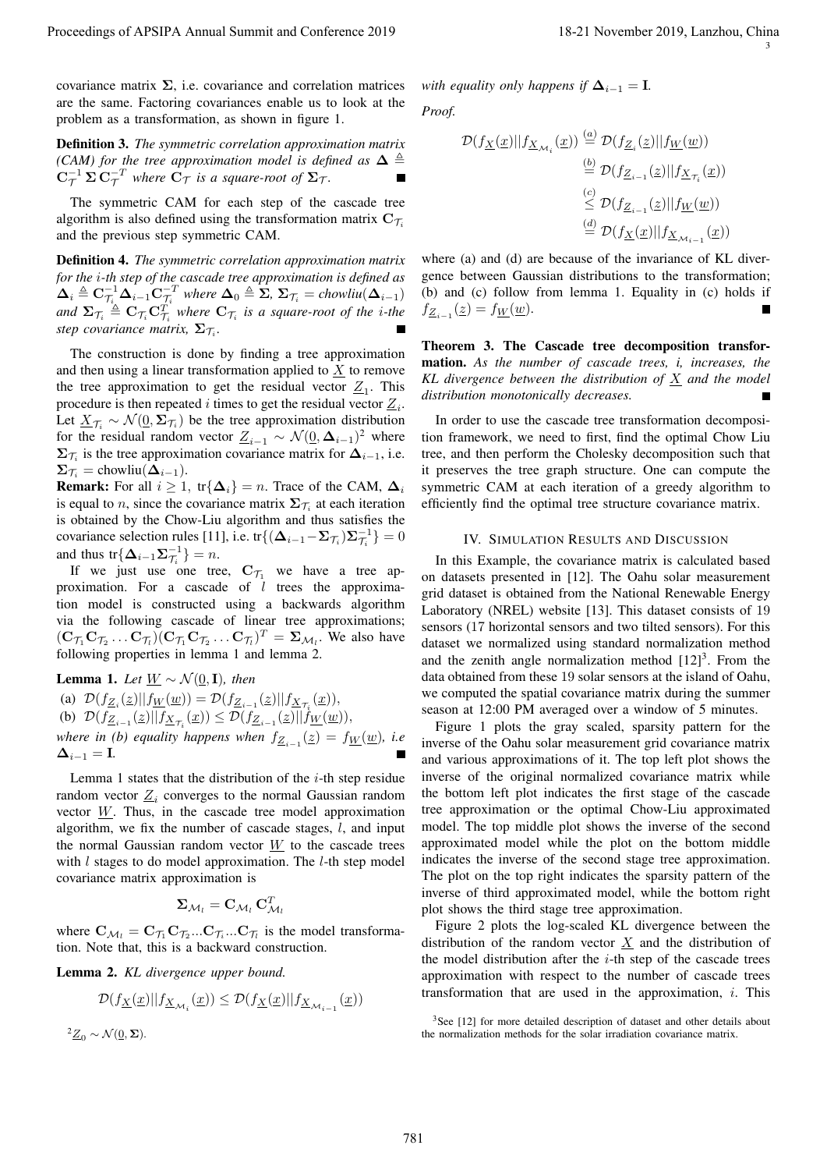covariance matrix  $\Sigma$ , i.e. covariance and correlation matrices are the same. Factoring covariances enable us to look at the problem as a transformation, as shown in figure 1.

Definition 3. *The symmetric correlation approximation matrix (CAM) for the tree approximation model is defined as*  $\Delta \triangleq$  $C_{\mathcal{T}}^{-1} \Sigma C_{\mathcal{T}}^{-T}$  where  $C_{\mathcal{T}}$  is a square-root of  $\Sigma_{\mathcal{T}}$ .

The symmetric CAM for each step of the cascade tree algorithm is also defined using the transformation matrix  $C_{\mathcal{T}_i}$ and the previous step symmetric CAM.

Definition 4. *The symmetric correlation approximation matrix for the* i*-th step of the cascade tree approximation is defined as*  $\Delta_i \triangleq \mathbf{C}_{\mathcal{T}_i}^{-1} \Delta_{i-1} \mathbf{C}_{\mathcal{T}_i}^{-T}$  where  $\Delta_0 \triangleq \mathbf{\Sigma}, \, \Sigma_{\mathcal{T}_i} = \text{chowliu}(\Delta_{i-1})$ and  $\Sigma_{\mathcal{T}_i} \triangleq \mathbf{C}_{\mathcal{T}_i} \mathbf{C}_{\mathcal{T}_i}^T$  where  $\mathbf{C}_{\mathcal{T}_i}$  is a square-root of the *i*-the  $\mathbf{step}$  covariance matrix,  $\mathbf{\Sigma}_{\mathcal{T}_i}$ .

The construction is done by finding a tree approximation and then using a linear transformation applied to  $\underline{X}$  to remove the tree approximation to get the residual vector  $Z_1$ . This procedure is then repeated i times to get the residual vector  $\underline{Z}_i$ . Let  $\underline{X}_{\mathcal{T}_i} \sim \mathcal{N}(\underline{0}, \Sigma_{\mathcal{T}_i})$  be the tree approximation distribution for the residual random vector  $\underline{Z}_{i-1} \sim \mathcal{N}(\underline{0}, \Delta_{i-1})^2$  where  $\Sigma_{\mathcal{T}_i}$  is the tree approximation covariance matrix for  $\Delta_{i-1}$ , i.e.  $\Sigma_{\mathcal{T}_i} = \text{chowliu}(\Delta_{i-1}).$ 

**Remark:** For all  $i \geq 1$ , tr{ $\Delta_i$ } = n. Trace of the CAM,  $\Delta_i$ is equal to *n*, since the covariance matrix  $\Sigma_{\mathcal{T}_i}$  at each iteration is obtained by the Chow-Liu algorithm and thus satisfies the covariance selection rules [11], i.e. tr $\{(\Delta_{i-1} - \Sigma_{\mathcal{T}_i})\Sigma_{\mathcal{T}_i}^{-1}\} = 0$ and thus  $tr\{\mathbf{\Delta}_{i-1}\mathbf{\Sigma}_{\mathcal{T}_i}^{-1}\}=n$ .

If we just use one tree,  $C_{\mathcal{T}_1}$  we have a tree approximation. For a cascade of  $l$  trees the approximation model is constructed using a backwards algorithm via the following cascade of linear tree approximations;  $(\mathbf{C}_{\mathcal{T}_1}\mathbf{C}_{\mathcal{T}_2}\dots\mathbf{C}_{\mathcal{T}_l})(\mathbf{C}_{\mathcal{T}_1}\mathbf{C}_{\mathcal{T}_2}\dots\mathbf{C}_{\mathcal{T}_l})^T = \mathbf{\Sigma}_{\mathcal{M}_l}$ . We also have following properties in lemma 1 and lemma 2.

**Lemma 1.** *Let*  $\underline{W}$  ∼  $\mathcal{N}(\underline{0}, \mathbf{I})$ *, then* (a)  $\mathcal{D}(f_{\underline{Z}_i}(\underline{z})|| f_{\underline{W}}(\underline{w})) = \mathcal{D}(f_{\underline{Z}_{i-1}}(\underline{z})|| f_{\underline{X}_{\mathcal{T}_i}}(\underline{x})),$ (b)  $\mathcal{D}(f_{\underline{Z}_{i-1}}(\underline{z})||f_{\underline{X}_{\mathcal{T}_i}}(\underline{x})) \leq \mathcal{D}(f_{\underline{Z}_{i-1}}(\underline{z})||\dot{f}_{\underline{W}}(\underline{w})),$ *where in (b) equality happens when*  $f_{\underline{Z}_{i-1}}(\underline{z}) = f_{\underline{W}}(\underline{w})$ , *i.e*  $\Delta_{i-1} = \mathbf{I}$ .

Lemma 1 states that the distribution of the  $i$ -th step residue random vector  $\underline{Z}_i$  converges to the normal Gaussian random vector  $W$ . Thus, in the cascade tree model approximation algorithm, we fix the number of cascade stages,  $l$ , and input the normal Gaussian random vector  $W$  to the cascade trees with  $l$  stages to do model approximation. The  $l$ -th step model covariance matrix approximation is

$$
\boldsymbol{\Sigma}_{\mathcal{M}_l} = \mathbf{C}_{\mathcal{M}_l} \, \mathbf{C}_{\mathcal{M}_l}^T
$$

where  $\mathbf{C}_{\mathcal{M}_l} = \mathbf{C}_{\mathcal{T}_1} \mathbf{C}_{\mathcal{T}_2} ... \mathbf{C}_{\mathcal{T}_i} ... \mathbf{C}_{\mathcal{T}_l}$  is the model transformation. Note that, this is a backward construction.

Lemma 2. *KL divergence upper bound.*

$$
\mathcal{D}(f_{\underline{X}}(\underline{x})||f_{\underline{X}_{\mathcal{M}_i}}(\underline{x})) \le \mathcal{D}(f_{\underline{X}}(\underline{x})||f_{\underline{X}_{\mathcal{M}_{i-1}}}(\underline{x}))
$$

 $^{2}\underline{Z}_{0} \sim \mathcal{N}(\underline{0}, \Sigma).$ 

*with equality only happens if*  $\Delta_{i-1} = I$ *. Proof.*

$$
\mathcal{D}(f_{\underline{X}}(\underline{x})||f_{\underline{X}_{\mathcal{M}_i}}(\underline{x})) \stackrel{(a)}{=} \mathcal{D}(f_{\underline{Z}_i}(\underline{z})||f_{\underline{W}}(\underline{w}))
$$
  
\n
$$
\stackrel{(b)}{=} \mathcal{D}(f_{\underline{Z}_{i-1}}(\underline{z})||f_{\underline{X}_{\mathcal{T}_i}}(\underline{x}))
$$
  
\n
$$
\stackrel{(c)}{\leq} \mathcal{D}(f_{\underline{Z}_{i-1}}(\underline{z})||f_{\underline{W}}(\underline{w}))
$$
  
\n
$$
\stackrel{(d)}{=} \mathcal{D}(f_{\underline{X}}(\underline{x})||f_{\underline{X}_{\mathcal{M}_{i-1}}}(\underline{x}))
$$

where (a) and (d) are because of the invariance of KL divergence between Gaussian distributions to the transformation; (b) and (c) follow from lemma 1. Equality in (c) holds if  $f_{\underline{Z}_{i-1}}(\underline{z}) = f_{\underline{W}}(\underline{w}).$ 

Theorem 3. The Cascade tree decomposition transformation. *As the number of cascade trees, i, increases, the KL divergence between the distribution of* X *and the model distribution monotonically decreases.*

In order to use the cascade tree transformation decomposition framework, we need to first, find the optimal Chow Liu tree, and then perform the Cholesky decomposition such that it preserves the tree graph structure. One can compute the symmetric CAM at each iteration of a greedy algorithm to efficiently find the optimal tree structure covariance matrix.

#### IV. SIMULATION RESULTS AND DISCUSSION

In this Example, the covariance matrix is calculated based on datasets presented in [12]. The Oahu solar measurement grid dataset is obtained from the National Renewable Energy Laboratory (NREL) website [13]. This dataset consists of 19 sensors (17 horizontal sensors and two tilted sensors). For this dataset we normalized using standard normalization method and the zenith angle normalization method  $[12]^3$ . From the data obtained from these 19 solar sensors at the island of Oahu, we computed the spatial covariance matrix during the summer season at 12:00 PM averaged over a window of 5 minutes.

Figure 1 plots the gray scaled, sparsity pattern for the inverse of the Oahu solar measurement grid covariance matrix and various approximations of it. The top left plot shows the inverse of the original normalized covariance matrix while the bottom left plot indicates the first stage of the cascade tree approximation or the optimal Chow-Liu approximated model. The top middle plot shows the inverse of the second approximated model while the plot on the bottom middle indicates the inverse of the second stage tree approximation. The plot on the top right indicates the sparsity pattern of the inverse of third approximated model, while the bottom right plot shows the third stage tree approximation. Proceeding of APSIPA Annual Summit and Conference 2019<br>
society and conference 2019 18-21 November 2019 18-21 November 2019 18-21 November 2019 18-21<br>
and Conference 2019 18-21 November 2019 18-21 November 2019 18-21 Nove

Figure 2 plots the log-scaled KL divergence between the distribution of the random vector  $X$  and the distribution of the model distribution after the  $i$ -th step of the cascade trees approximation with respect to the number of cascade trees transformation that are used in the approximation,  $i$ . This

<sup>&</sup>lt;sup>3</sup>See [12] for more detailed description of dataset and other details about the normalization methods for the solar irradiation covariance matrix.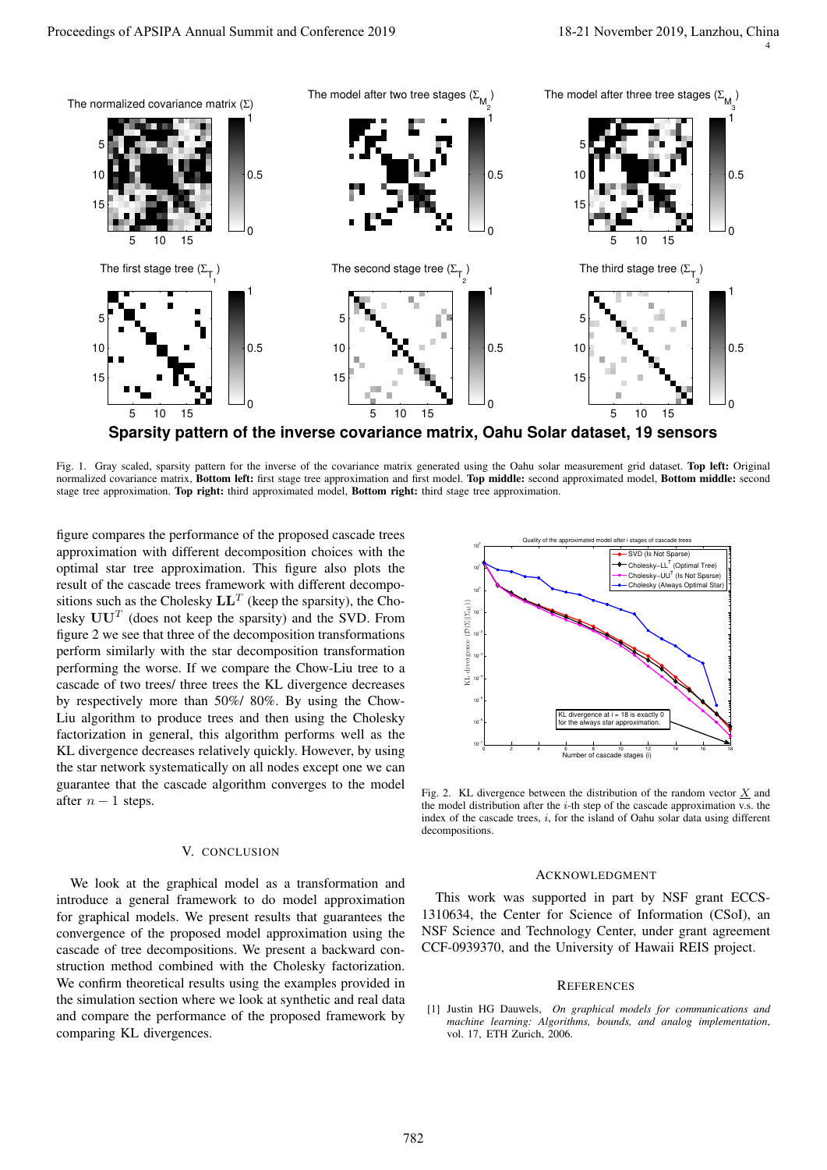4



**Sparsity pattern of the inverse covariance matrix, Oahu Solar dataset, 19 sensors**

Fig. 1. Gray scaled, sparsity pattern for the inverse of the covariance matrix generated using the Oahu solar measurement grid dataset. Top left: Original normalized covariance matrix, Bottom left: first stage tree approximation and first model. Top middle: second approximated model, Bottom middle: second stage tree approximation. Top right: third approximated model, Bottom right: third stage tree approximation.

figure compares the performance of the proposed cascade trees approximation with different decomposition choices with the optimal star tree approximation. This figure also plots the result of the cascade trees framework with different decompositions such as the Cholesky  $LL^T$  (keep the sparsity), the Cholesky  $UU<sup>T</sup>$  (does not keep the sparsity) and the SVD. From figure 2 we see that three of the decomposition transformations perform similarly with the star decomposition transformation performing the worse. If we compare the Chow-Liu tree to a cascade of two trees/ three trees the KL divergence decreases by respectively more than 50%/ 80%. By using the Chow-Liu algorithm to produce trees and then using the Cholesky factorization in general, this algorithm performs well as the KL divergence decreases relatively quickly. However, by using the star network systematically on all nodes except one we can guarantee that the cascade algorithm converges to the model after  $n - 1$  steps.

## V. CONCLUSION

We look at the graphical model as a transformation and introduce a general framework to do model approximation for graphical models. We present results that guarantees the convergence of the proposed model approximation using the cascade of tree decompositions. We present a backward construction method combined with the Cholesky factorization. We confirm theoretical results using the examples provided in the simulation section where we look at synthetic and real data and compare the performance of the proposed framework by comparing KL divergences.



Fig. 2. KL divergence between the distribution of the random vector  $X$  and the model distribution after the  $i$ -th step of the cascade approximation v.s. the index of the cascade trees,  $i$ , for the island of Oahu solar data using different decompositions.

#### ACKNOWLEDGMENT

This work was supported in part by NSF grant ECCS-1310634, the Center for Science of Information (CSoI), an NSF Science and Technology Center, under grant agreement CCF-0939370, and the University of Hawaii REIS project.

#### **REFERENCES**

[1] Justin HG Dauwels, *On graphical models for communications and machine learning: Algorithms, bounds, and analog implementation*, vol. 17, ETH Zurich, 2006.